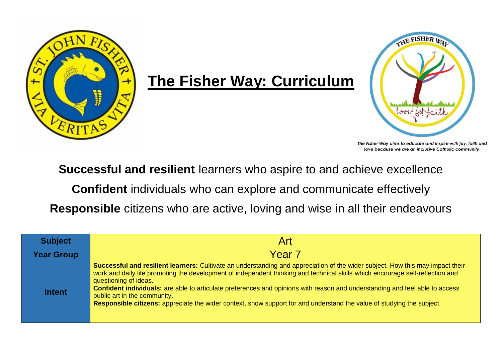

## **The Fisher Way: Curriculum**



The Fisher Way aims to educate and inspire with joy, faith and love because we are an inclusive Catholic community.

**Successful and resilient** learners who aspire to and achieve excellence

**Confident** individuals who can explore and communicate effectively

**Responsible** citizens who are active, loving and wise in all their endeavours

| <b>Subject</b>    | Art                                                                                                                                                                                                                                                                                                                                                                                                                                                                                                                                                                                 |
|-------------------|-------------------------------------------------------------------------------------------------------------------------------------------------------------------------------------------------------------------------------------------------------------------------------------------------------------------------------------------------------------------------------------------------------------------------------------------------------------------------------------------------------------------------------------------------------------------------------------|
| <b>Year Group</b> | Year <sub>7</sub>                                                                                                                                                                                                                                                                                                                                                                                                                                                                                                                                                                   |
| <b>Intent</b>     | Successful and resilient learners: Cultivate an understanding and appreciation of the wider subject. How this may impact their<br>work and daily life promoting the development of independent thinking and technical skills which encourage self-reflection and<br>questioning of ideas.<br>Confident individuals: are able to articulate preferences and opinions with reason and understanding and feel able to access<br>public art in the community.<br>Responsible citizens: appreciate the wider context, show support for and understand the value of studying the subject. |